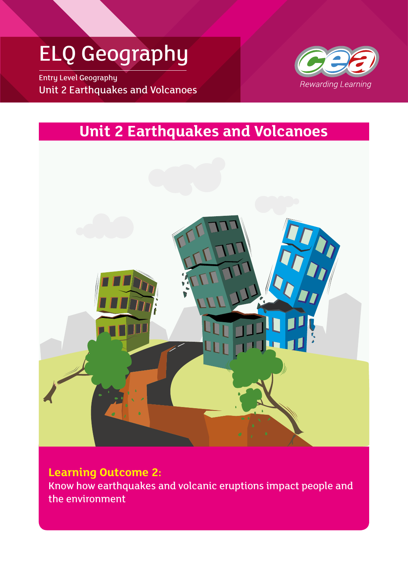## ELQ Geography

Entry Level Geography Unit 2 Earthquakes and Volcanoes



### **Unit 2 Earthquakes and Volcanoes**



**Learning Outcome 2:** Know how earthquakes and volcanic eruptions impact people and the environment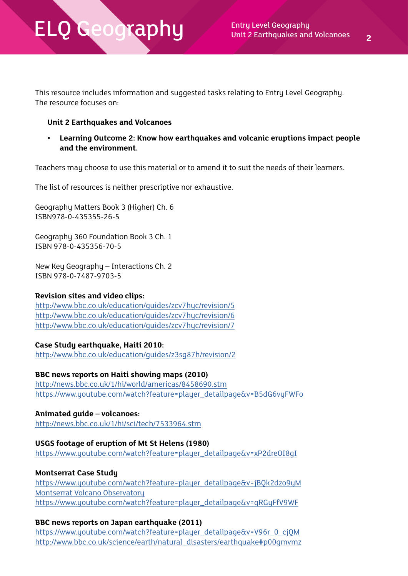This resource includes information and suggested tasks relating to Entry Level Geography. The resource focuses on:

#### **Unit 2 Earthquakes and Volcanoes**

**• Learning Outcome 2: Know how earthquakes and volcanic eruptions impact people and the environment.**

Teachers may choose to use this material or to amend it to suit the needs of their learners.

The list of resources is neither prescriptive nor exhaustive.

Geography Matters Book 3 (Higher) Ch. 6 ISBN978-0-435355-26-5

Geography 360 Foundation Book 3 Ch. 1 ISBN 978-0-435356-70-5

New Key Geography – Interactions Ch. 2 ISBN 978-0-7487-9703-5

#### **Revision sites and video clips:**

<http://www.bbc.co.uk/education/guides/zcv7hyc/revision/5> <http://www.bbc.co.uk/education/guides/zcv7hyc/revision/6> <http://www.bbc.co.uk/education/guides/zcv7hyc/revision/7>

#### **Case Study earthquake, Haiti 2010:**

<http://www.bbc.co.uk/education/guides/z3sg87h/revision/2>

**BBC news reports on Haiti showing maps (2010)** <http://news.bbc.co.uk/1/hi/world/americas/8458690.stm> [https://www.youtube.com/watch?feature=player\\_detailpage&v=B5dG6vyFWFo](https://www.youtube.com/watch?feature=player_detailpage&v=B5dG6vyFWFo)

**Animated guide – volcanoes:**  <http://news.bbc.co.uk/1/hi/sci/tech/7533964.stm>

#### **USGS footage of eruption of Mt St Helens (1980)**

[https://www.youtube.com/watch?feature=player\\_detailpage&v=xP2dreOI8gI](https://www.youtube.com/watch?feature=player_detailpage&v=xP2dreOI8gI)

#### **Montserrat Case Study**

[https://www.youtube.com/watch?feature=player\\_detailpage&v=jBQk2dzo9yM](https://www.youtube.com/watch?feature=player_detailpage&v=jBQk2dzo9yM
Montserrat Volcano Observatory) [Montserrat Volcano Observatory](https://www.youtube.com/watch?feature=player_detailpage&v=jBQk2dzo9yM
Montserrat Volcano Observatory) [https://www.youtube.com/watch?feature=player\\_detailpage&v=qRGyFfV9WF](https://www.youtube.com/watch?feature=player_detailpage&v=qRGyFfV9WF)

#### **BBC news reports on Japan earthquake (2011)**

[https://www.youtube.com/watch?feature=player\\_detailpage&v=V96r\\_0\\_cjQM](https://www.youtube.com/watch?feature=player_detailpage&v=V96r_0_cjQM) [http://www.bbc.co.uk/science/earth/natural\\_disasters/earthquake#p00gmvmz](http://www.bbc.co.uk/science/earth/natural_disasters/earthquake#p00gmvmz)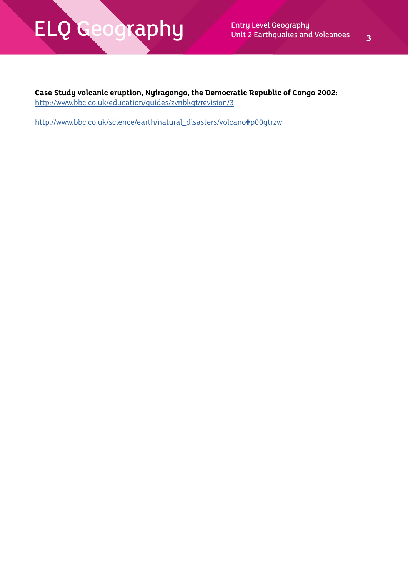**Case Study volcanic eruption, Nyiragongo, the Democratic Republic of Congo 2002:** <http://www.bbc.co.uk/education/guides/zvnbkqt/revision/3>

[http://www.bbc.co.uk/science/earth/natural\\_disasters/volcano#p00gtrzw](http://www.bbc.co.uk/science/earth/natural_disasters/volcano#p00gtrzw)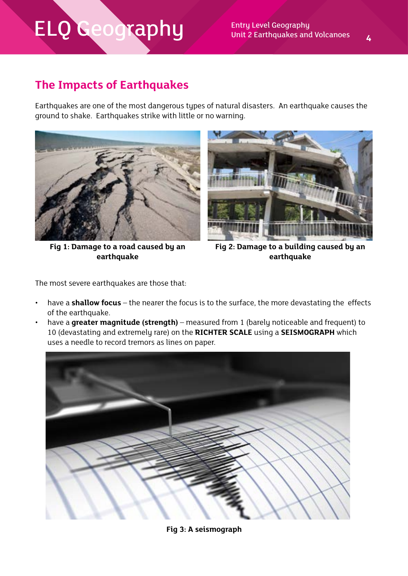### **The Impacts of Earthquakes**

Earthquakes are one of the most dangerous types of natural disasters. An earthquake causes the ground to shake. Earthquakes strike with little or no warning.



**Fig 1: Damage to a road caused by an earthquake** 



**Fig 2: Damage to a building caused by an earthquake**

The most severe earthquakes are those that:

- have a **shallow focus** the nearer the focus is to the surface, the more devastating the effects of the earthquake.
- have a **greater magnitude (strength)** measured from 1 (barely noticeable and frequent) to 10 (devastating and extremely rare) on the **RICHTER SCALE** using a **SEISMOGRAPH** which uses a needle to record tremors as lines on paper.



**Fig 3: A seismograph**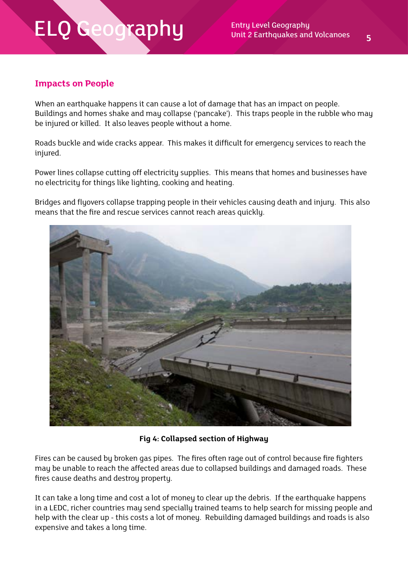### **Impacts on People**

When an earthquake happens it can cause a lot of damage that has an impact on people. Buildings and homes shake and may collapse ('pancake'). This traps people in the rubble who may be injured or killed. It also leaves people without a home.

Roads buckle and wide cracks appear. This makes it difficult for emergency services to reach the injured.

Power lines collapse cutting off electricity supplies. This means that homes and businesses have no electricity for things like lighting, cooking and heating.

Bridges and flyovers collapse trapping people in their vehicles causing death and injury. This also means that the fire and rescue services cannot reach areas quickly.



**Fig 4: Collapsed section of Highway**

Fires can be caused by broken gas pipes. The fires often rage out of control because fire fighters may be unable to reach the affected areas due to collapsed buildings and damaged roads. These fires cause deaths and destroy property.

It can take a long time and cost a lot of money to clear up the debris. If the earthquake happens in a LEDC, richer countries may send specially trained teams to help search for missing people and help with the clear up - this costs a lot of money. Rebuilding damaged buildings and roads is also expensive and takes a long time.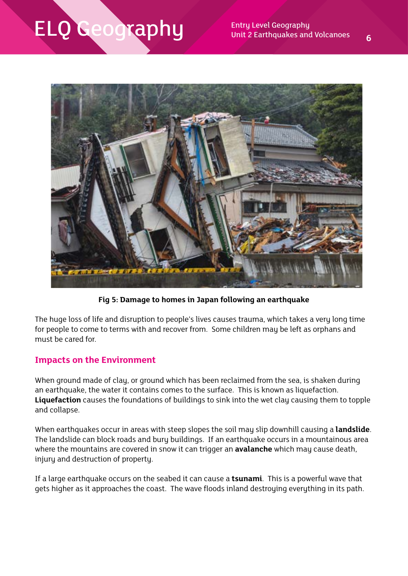

**Fig 5: Damage to homes in Japan following an earthquake**

The huge loss of life and disruption to people's lives causes trauma, which takes a very long time for people to come to terms with and recover from. Some children may be left as orphans and must be cared for.

#### **Impacts on the Environment**

When ground made of clay, or ground which has been reclaimed from the sea, is shaken during an earthquake, the water it contains comes to the surface. This is known as liquefaction. **Liquefaction** causes the foundations of buildings to sink into the wet clay causing them to topple and collapse.

When earthquakes occur in areas with steep slopes the soil may slip downhill causing a **landslide**. The landslide can block roads and bury buildings. If an earthquake occurs in a mountainous area where the mountains are covered in snow it can trigger an **avalanche** which may cause death, injury and destruction of property.

If a large earthquake occurs on the seabed it can cause a **tsunami**. This is a powerful wave that gets higher as it approaches the coast. The wave floods inland destroying everything in its path.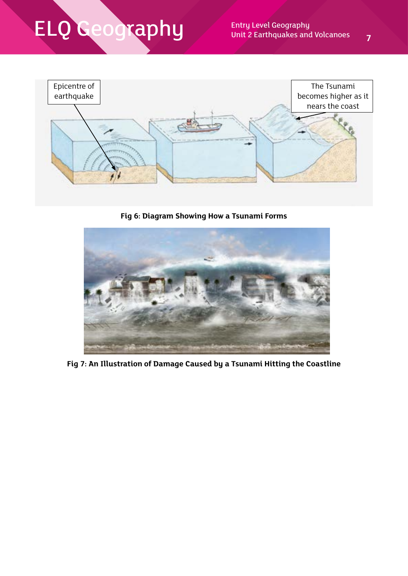

**Fig 6: Diagram Showing How a Tsunami Forms**



**Fig 7: An Illustration of Damage Caused by a Tsunami Hitting the Coastline**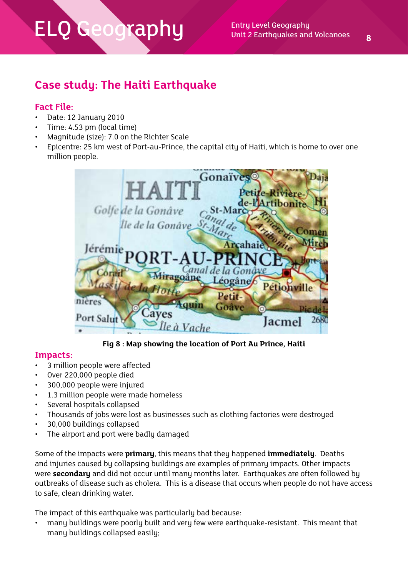### **Case study: The Haiti Earthquake**

### **Fact File:**

- Date: 12 January 2010
- Time: 4.53 pm (local time)
- Magnitude (size): 7.0 on the Richter Scale
- Epicentre: 25 km west of Port-au-Prince, the capital city of Haiti, which is home to over one million people.



**Fig 8 : Map showing the location of Port Au Prince, Haiti**

#### **Impacts:**

- 3 million people were affected
- Over 220,000 people died
- 300,000 people were injured
- 1.3 million people were made homeless
- Several hospitals collapsed
- Thousands of jobs were lost as businesses such as clothing factories were destroyed
- 30,000 buildings collapsed
- The airport and port were badly damaged

Some of the impacts were **primary**, this means that they happened **immediately**. Deaths and injuries caused by collapsing buildings are examples of primary impacts. Other impacts were **secondary** and did not occur until many months later. Earthquakes are often followed by outbreaks of disease such as cholera. This is a disease that occurs when people do not have access to safe, clean drinking water.

The impact of this earthquake was particularly bad because:

• many buildings were poorly built and very few were earthquake-resistant. This meant that many buildings collapsed easily;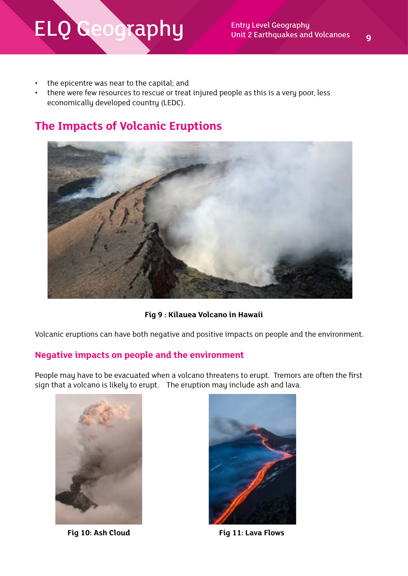- the epicentre was near to the capital; and
- there were few resources to rescue or treat injured people as this is a very poor, less economically developed country (LEDC).

### **The Impacts of Volcanic Eruptions**



**Fig 9 : Kilauea Volcano in Hawaii**

Volcanic eruptions can have both negative and positive impacts on people and the environment.

### **Negative impacts on people and the environment**

People may have to be evacuated when a volcano threatens to erupt. Tremors are often the first sign that a volcano is likely to erupt. The eruption may include ash and lava.





**Fig 10: Ash Cloud Fig 11: Lava Flows**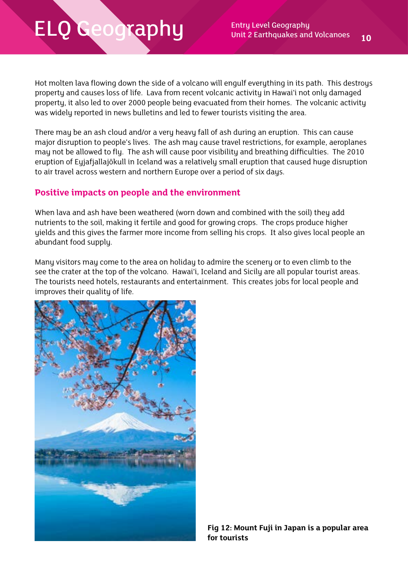Hot molten lava flowing down the side of a volcano will engulf everything in its path. This destroys property and causes loss of life. Lava from recent volcanic activity in Hawai'i not only damaged property, it also led to over 2000 people being evacuated from their homes. The volcanic activity was widely reported in news bulletins and led to fewer tourists visiting the area.

There may be an ash cloud and/or a very heavy fall of ash during an eruption. This can cause major disruption to people's lives. The ash may cause travel restrictions, for example, aeroplanes may not be allowed to fly. The ash will cause poor visibility and breathing difficulties. The 2010 eruption of Eyjafjallajökull in Iceland was a relatively small eruption that caused huge disruption to air travel across western and northern Europe over a period of six days.

#### **Positive impacts on people and the environment**

When lava and ash have been weathered (worn down and combined with the soil) they add nutrients to the soil, making it fertile and good for growing crops. The crops produce higher yields and this gives the farmer more income from selling his crops. It also gives local people an abundant food supply.

Many visitors may come to the area on holiday to admire the scenery or to even climb to the see the crater at the top of the volcano. Hawai'i, Iceland and Sicily are all popular tourist areas. The tourists need hotels, restaurants and entertainment. This creates jobs for local people and improves their quality of life.

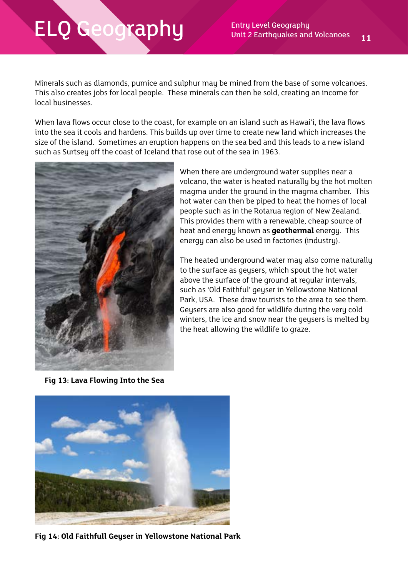Minerals such as diamonds, pumice and sulphur may be mined from the base of some volcanoes. This also creates jobs for local people. These minerals can then be sold, creating an income for local businesses.

When lava flows occur close to the coast, for example on an island such as Hawai'i, the lava flows into the sea it cools and hardens. This builds up over time to create new land which increases the size of the island. Sometimes an eruption happens on the sea bed and this leads to a new island such as Surtsey off the coast of Iceland that rose out of the sea in 1963.



When there are underground water supplies near a volcano, the water is heated naturally by the hot molten magma under the ground in the magma chamber. This hot water can then be piped to heat the homes of local people such as in the Rotarua region of New Zealand. This provides them with a renewable, cheap source of heat and energy known as **geothermal** energy. This energy can also be used in factories (industry).

The heated underground water may also come naturally to the surface as geysers, which spout the hot water above the surface of the ground at regular intervals, such as 'Old Faithful' geuser in Yellowstone National Park, USA. These draw tourists to the area to see them. Geysers are also good for wildlife during the very cold winters, the ice and snow near the geysers is melted by the heat allowing the wildlife to graze.

**Fig 13: Lava Flowing Into the Sea**



**Fig 14: Old Faithfull Geyser in Yellowstone National Park**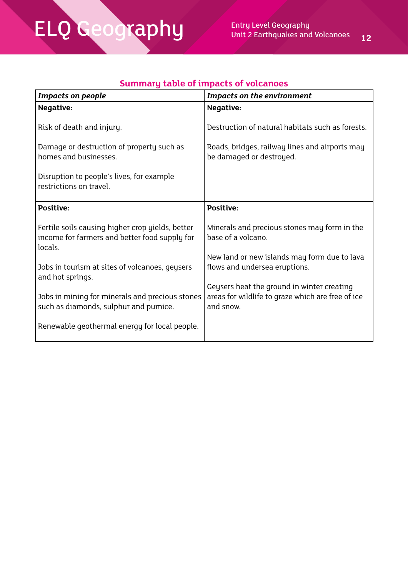# ELQ Geography

| <b>Service Service</b>                                                                                              |                                                                                                                      |
|---------------------------------------------------------------------------------------------------------------------|----------------------------------------------------------------------------------------------------------------------|
|                                                                                                                     |                                                                                                                      |
| ٠<br>and the state of the state of the state of the state of the state of the state of the state of the state of th | <b>Contract Contract Contract Contract Contract Contract Contract Contract Contract Contract Contract Contract C</b> |

| <b>Impacts on people</b>                                                                                     | <b>Impacts on the environment</b>                                                                            |  |  |
|--------------------------------------------------------------------------------------------------------------|--------------------------------------------------------------------------------------------------------------|--|--|
| Negative:                                                                                                    | <b>Negative:</b>                                                                                             |  |  |
| Risk of death and injury.                                                                                    | Destruction of natural habitats such as forests.                                                             |  |  |
| Damage or destruction of property such as<br>homes and businesses.                                           | Roads, bridges, railway lines and airports may<br>be damaged or destroyed.                                   |  |  |
| Disruption to people's lives, for example<br>restrictions on travel.                                         |                                                                                                              |  |  |
| <b>Positive:</b>                                                                                             | Positive:                                                                                                    |  |  |
| Fertile soils causing higher crop yields, better<br>income for farmers and better food supply for<br>locals. | Minerals and precious stones may form in the<br>base of a volcano.                                           |  |  |
| Jobs in tourism at sites of volcanoes, geysers<br>and hot springs.                                           | New land or new islands may form due to lava<br>flows and undersea eruptions.                                |  |  |
| Jobs in mining for minerals and precious stones<br>such as diamonds, sulphur and pumice.                     | Geysers heat the ground in winter creating<br>areas for wildlife to graze which are free of ice<br>and snow. |  |  |
| Renewable geothermal energy for local people.                                                                |                                                                                                              |  |  |

### **Summary table of impacts of volcanoes**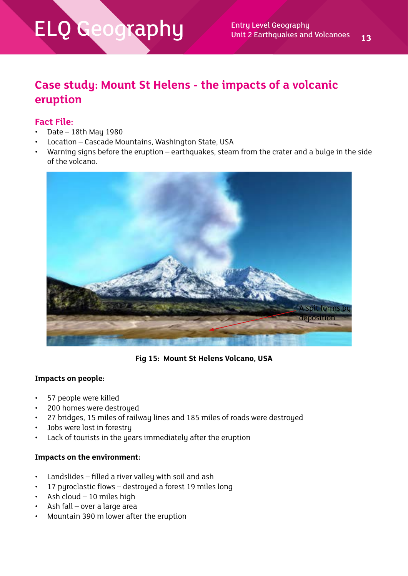### **Case study: Mount St Helens - the impacts of a volcanic eruption**

#### **Fact File:**

- Date  $-$  18th May 1980
- Location Cascade Mountains, Washington State, USA
- Warning signs before the eruption earthquakes, steam from the crater and a bulge in the side of the volcano.



**Fig 15: Mount St Helens Volcano, USA**

#### **Impacts on people:**

- 57 people were killed
- 200 homes were destroyed
- 27 bridges, 15 miles of railway lines and 185 miles of roads were destroyed
- Jobs were lost in forestry
- Lack of tourists in the years immediately after the eruption

#### **Impacts on the environment:**

- Landslides filled a river valley with soil and ash
- 17 pyroclastic flows destroyed a forest 19 miles long
- Ash cloud 10 miles high
- Ash fall over a large area
- Mountain 390 m lower after the eruption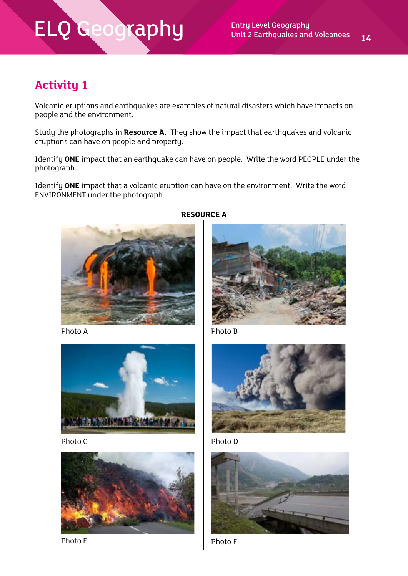### **Activity 1**

Volcanic eruptions and earthquakes are examples of natural disasters which have impacts on people and the environment.

Study the photographs in **Resource A.** They show the impact that earthquakes and volcanic eruptions can have on people and property.

Identify **ONE** impact that an earthquake can have on people. Write the word PEOPLE under the photograph.

Identify **ONE** impact that a volcanic eruption can have on the environment. Write the word ENVIRONMENT under the photograph.



#### **RESOURCE A**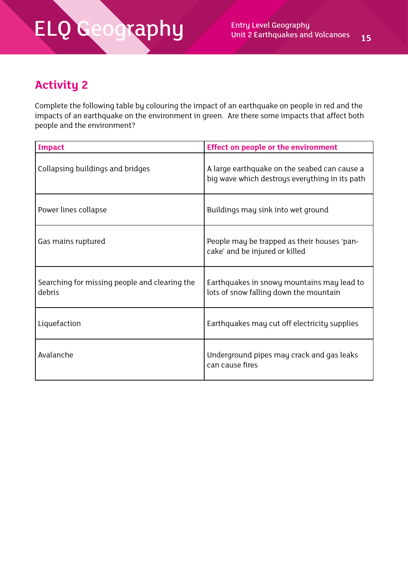### **Activity 2**

Complete the following table by colouring the impact of an earthquake on people in red and the impacts of an earthquake on the environment in green. Are there some impacts that affect both people and the environment?

| Impact                                                  | <b>Effect on people or the environment</b>                                                     |
|---------------------------------------------------------|------------------------------------------------------------------------------------------------|
| Collapsing buildings and bridges                        | A large earthquake on the seabed can cause a<br>big wave which destroys everything in its path |
| Power lines collapse                                    | Buildings may sink into wet ground                                                             |
| Gas mains ruptured                                      | People may be trapped as their houses 'pan-<br>cake' and be injured or killed                  |
| Searching for missing people and clearing the<br>debris | Earthquakes in snowy mountains may lead to<br>lots of snow falling down the mountain           |
| Liquefaction                                            | Earthquakes may cut off electricity supplies                                                   |
| Avalanche                                               | Underground pipes may crack and gas leaks<br>can cause fires                                   |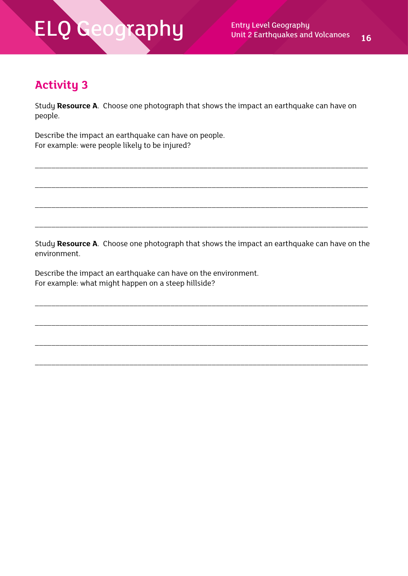### **Activity 3**

Study **Resource A**. Choose one photograph that shows the impact an earthquake can have on people.

\_\_\_\_\_\_\_\_\_\_\_\_\_\_\_\_\_\_\_\_\_\_\_\_\_\_\_\_\_\_\_\_\_\_\_\_\_\_\_\_\_\_\_\_\_\_\_\_\_\_\_\_\_\_\_\_\_\_\_\_\_\_\_\_\_\_\_\_\_\_\_\_\_\_\_\_\_\_\_\_\_

\_\_\_\_\_\_\_\_\_\_\_\_\_\_\_\_\_\_\_\_\_\_\_\_\_\_\_\_\_\_\_\_\_\_\_\_\_\_\_\_\_\_\_\_\_\_\_\_\_\_\_\_\_\_\_\_\_\_\_\_\_\_\_\_\_\_\_\_\_\_\_\_\_\_\_\_\_\_\_\_\_

\_\_\_\_\_\_\_\_\_\_\_\_\_\_\_\_\_\_\_\_\_\_\_\_\_\_\_\_\_\_\_\_\_\_\_\_\_\_\_\_\_\_\_\_\_\_\_\_\_\_\_\_\_\_\_\_\_\_\_\_\_\_\_\_\_\_\_\_\_\_\_\_\_\_\_\_\_\_\_\_\_

\_\_\_\_\_\_\_\_\_\_\_\_\_\_\_\_\_\_\_\_\_\_\_\_\_\_\_\_\_\_\_\_\_\_\_\_\_\_\_\_\_\_\_\_\_\_\_\_\_\_\_\_\_\_\_\_\_\_\_\_\_\_\_\_\_\_\_\_\_\_\_\_\_\_\_\_\_\_\_\_\_

Describe the impact an earthquake can have on people. For example: were people likely to be injured?

Study **Resource A**. Choose one photograph that shows the impact an earthquake can have on the environment.

\_\_\_\_\_\_\_\_\_\_\_\_\_\_\_\_\_\_\_\_\_\_\_\_\_\_\_\_\_\_\_\_\_\_\_\_\_\_\_\_\_\_\_\_\_\_\_\_\_\_\_\_\_\_\_\_\_\_\_\_\_\_\_\_\_\_\_\_\_\_\_\_\_\_\_\_\_\_\_\_\_

\_\_\_\_\_\_\_\_\_\_\_\_\_\_\_\_\_\_\_\_\_\_\_\_\_\_\_\_\_\_\_\_\_\_\_\_\_\_\_\_\_\_\_\_\_\_\_\_\_\_\_\_\_\_\_\_\_\_\_\_\_\_\_\_\_\_\_\_\_\_\_\_\_\_\_\_\_\_\_\_\_

\_\_\_\_\_\_\_\_\_\_\_\_\_\_\_\_\_\_\_\_\_\_\_\_\_\_\_\_\_\_\_\_\_\_\_\_\_\_\_\_\_\_\_\_\_\_\_\_\_\_\_\_\_\_\_\_\_\_\_\_\_\_\_\_\_\_\_\_\_\_\_\_\_\_\_\_\_\_\_\_\_

\_\_\_\_\_\_\_\_\_\_\_\_\_\_\_\_\_\_\_\_\_\_\_\_\_\_\_\_\_\_\_\_\_\_\_\_\_\_\_\_\_\_\_\_\_\_\_\_\_\_\_\_\_\_\_\_\_\_\_\_\_\_\_\_\_\_\_\_\_\_\_\_\_\_\_\_\_\_\_\_\_

Describe the impact an earthquake can have on the environment. For example: what might happen on a steep hillside?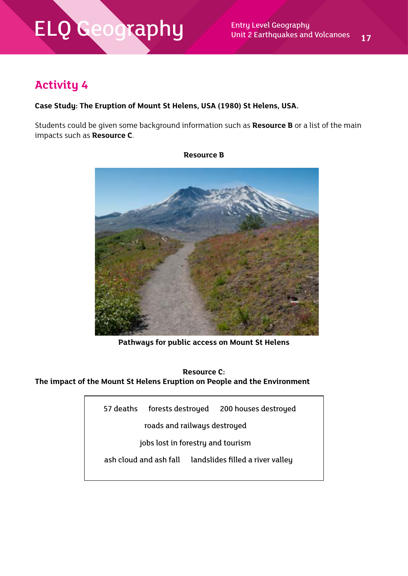### **Activity 4**

#### **Case Study: The Eruption of Mount St Helens, USA (1980) St Helens, USA.**

Students could be given some background information such as **Resource B** or a list of the main impacts such as **Resource C**.



**Resource B**

**Pathways for public access on Mount St Helens**

**Resource C: The impact of the Mount St Helens Eruption on People and the Environment**

| 57 deaths                         | forests destroyed            |  | 200 houses destroyed                                    |  |
|-----------------------------------|------------------------------|--|---------------------------------------------------------|--|
|                                   | roads and railways destroyed |  |                                                         |  |
| jobs lost in forestry and tourism |                              |  |                                                         |  |
|                                   |                              |  | ash cloud and ash fall landslides filled a river valley |  |
|                                   |                              |  |                                                         |  |